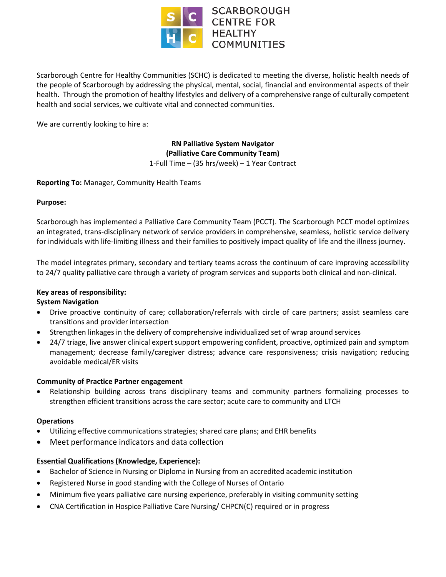

Scarborough Centre for Healthy Communities (SCHC) is dedicated to meeting the diverse, holistic health needs of the people of Scarborough by addressing the physical, mental, social, financial and environmental aspects of their health. Through the promotion of healthy lifestyles and delivery of a comprehensive range of culturally competent health and social services, we cultivate vital and connected communities.

We are currently looking to hire a:

## **RN Palliative System Navigator (Palliative Care Community Team)** 1-Full Time – (35 hrs/week) – 1 Year Contract

#### **Reporting To:** Manager, Community Health Teams

#### **Purpose:**

Scarborough has implemented a Palliative Care Community Team (PCCT). The Scarborough PCCT model optimizes an integrated, trans-disciplinary network of service providers in comprehensive, seamless, holistic service delivery for individuals with life-limiting illness and their families to positively impact quality of life and the illness journey.

The model integrates primary, secondary and tertiary teams across the continuum of care improving accessibility to 24/7 quality palliative care through a variety of program services and supports both clinical and non-clinical.

### **Key areas of responsibility:**

#### **System Navigation**

- Drive proactive continuity of care; collaboration/referrals with circle of care partners; assist seamless care transitions and provider intersection
- Strengthen linkages in the delivery of comprehensive individualized set of wrap around services
- 24/7 triage, live answer clinical expert support empowering confident, proactive, optimized pain and symptom management; decrease family/caregiver distress; advance care responsiveness; crisis navigation; reducing avoidable medical/ER visits

#### **Community of Practice Partner engagement**

 Relationship building across trans disciplinary teams and community partners formalizing processes to strengthen efficient transitions across the care sector; acute care to community and LTCH

#### **Operations**

- Utilizing effective communications strategies; shared care plans; and EHR benefits
- Meet performance indicators and data collection

#### **Essential Qualifications (Knowledge, Experience):**

- Bachelor of Science in Nursing or Diploma in Nursing from an accredited academic institution
- Registered Nurse in good standing with the College of Nurses of Ontario
- Minimum five years palliative care nursing experience, preferably in visiting community setting
- CNA Certification in Hospice Palliative Care Nursing/ CHPCN(C) required or in progress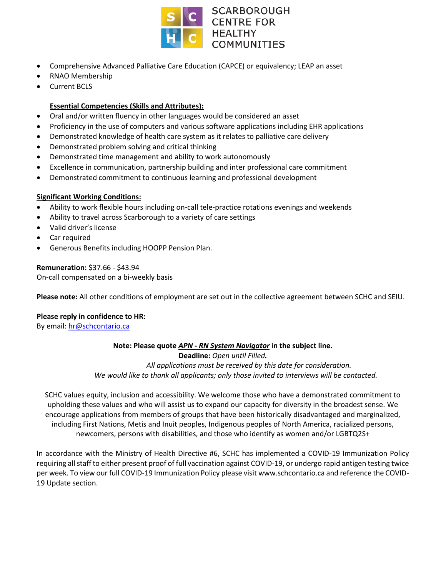

- Comprehensive Advanced Palliative Care Education (CAPCE) or equivalency; LEAP an asset
- RNAO Membership
- Current BCLS

# **Essential Competencies (Skills and Attributes):**

- Oral and/or written fluency in other languages would be considered an asset
- Proficiency in the use of computers and various software applications including EHR applications
- Demonstrated knowledge of health care system as it relates to palliative care delivery
- Demonstrated problem solving and critical thinking
- Demonstrated time management and ability to work autonomously
- Excellence in communication, partnership building and inter professional care commitment
- Demonstrated commitment to continuous learning and professional development

## **Significant Working Conditions:**

- Ability to work flexible hours including on-call tele-practice rotations evenings and weekends
- Ability to travel across Scarborough to a variety of care settings
- Valid driver's license
- Car required
- Generous Benefits including HOOPP Pension Plan.

**Remuneration:** \$37.66 - \$43.94 On-call compensated on a bi-weekly basis

**Please note:** All other conditions of employment are set out in the collective agreement between SCHC and SEIU.

#### **Please reply in confidence to HR:**

By email: [hr@schcontario.ca](mailto:hr@schcontario.ca)

**Note: Please quote** *APN - RN System Navigator* **in the subject line. Deadline:** *Open until Filled. All applications must be received by this date for consideration. We would like to thank all applicants; only those invited to interviews will be contacted.*

SCHC values equity, inclusion and accessibility. We welcome those who have a demonstrated commitment to upholding these values and who will assist us to expand our capacity for diversity in the broadest sense. We encourage applications from members of groups that have been historically disadvantaged and marginalized, including First Nations, Metis and Inuit peoples, Indigenous peoples of North America, racialized persons, newcomers, persons with disabilities, and those who identify as women and/or LGBTQ2S+

In accordance with the Ministry of Health Directive #6, SCHC has implemented a COVID-19 Immunization Policy requiring all staff to either present proof of full vaccination against COVID-19, or undergo rapid antigen testing twice per week. To view our full COVID-19 Immunization Policy please visit www.schcontario.ca and reference the COVID-19 Update section.